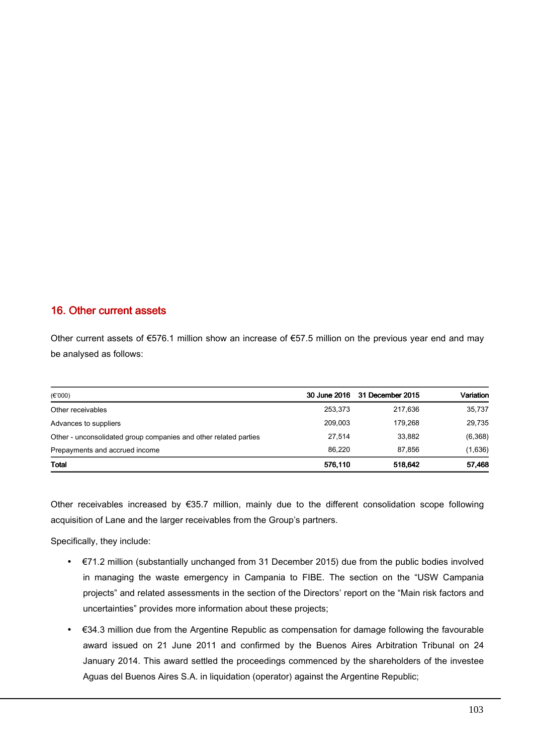## 16. Other current assets 16. Other current assets

Other current assets of €576.1 million show an increase of €57.5 million on the previous year end and may be analysed as follows:

| $(\epsilon$ '000)                                                |         | 30 June 2016 31 December 2015 | Variation |
|------------------------------------------------------------------|---------|-------------------------------|-----------|
| Other receivables                                                | 253.373 | 217.636                       | 35,737    |
| Advances to suppliers                                            | 209.003 | 179.268                       | 29,735    |
| Other - unconsolidated group companies and other related parties | 27.514  | 33.882                        | (6,368)   |
| Prepayments and accrued income                                   | 86.220  | 87.856                        | (1,636)   |
| <b>Total</b>                                                     | 576,110 | 518,642                       | 57,468    |

Other receivables increased by €35.7 million, mainly due to the different consolidation scope following acquisition of Lane and the larger receivables from the Group's partners.

Specifically, they include:

- €71.2 million (substantially unchanged from 31 December 2015) due from the public bodies involved in managing the waste emergency in Campania to FIBE. The section on the "USW Campania projects" and related assessments in the section of the Directors' report on the "Main risk factors and uncertainties" provides more information about these projects;
- €34.3 million due from the Argentine Republic as compensation for damage following the favourable award issued on 21 June 2011 and confirmed by the Buenos Aires Arbitration Tribunal on 24 January 2014. This award settled the proceedings commenced by the shareholders of the investee Aguas del Buenos Aires S.A. in liquidation (operator) against the Argentine Republic;